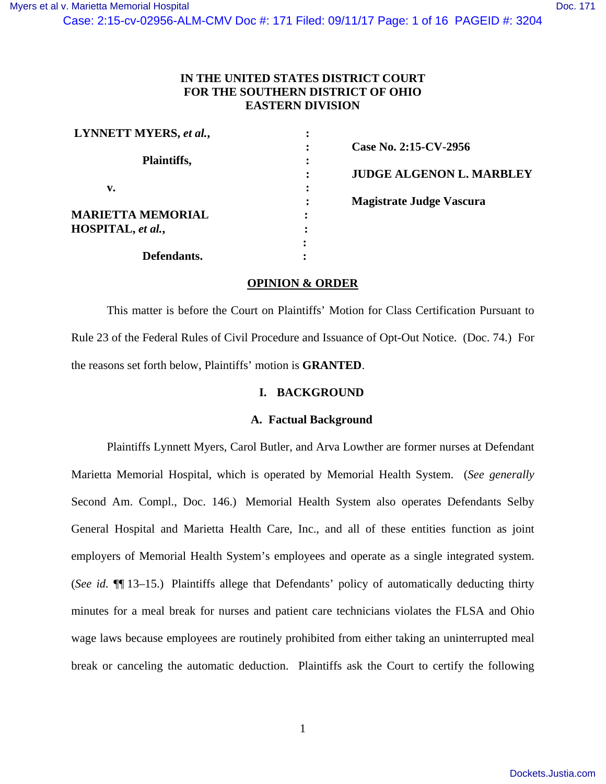Case: 2:15-cv-02956-ALM-CMV Doc #: 171 Filed: 09/11/17 Page: 1 of 16 PAGEID #: 3204

# **IN THE UNITED STATES DISTRICT COURT FOR THE SOUTHERN DISTRICT OF OHIO EASTERN DIVISION**

| LYNNETT MYERS, et al.,   |                                      |
|--------------------------|--------------------------------------|
|                          | Case No. 2:15-CV-2956                |
| Plaintiffs,              |                                      |
|                          | <b>JUDGE ALGENON L. MARBLEY</b><br>٠ |
| v.                       |                                      |
|                          | <b>Magistrate Judge Vascura</b>      |
| <b>MARIETTA MEMORIAL</b> | ٠                                    |
| HOSPITAL, et al.,        |                                      |
|                          |                                      |
| <b>Defendants.</b>       |                                      |

# **OPINION & ORDER**

 This matter is before the Court on Plaintiffs' Motion for Class Certification Pursuant to Rule 23 of the Federal Rules of Civil Procedure and Issuance of Opt-Out Notice. (Doc. 74.) For the reasons set forth below, Plaintiffs' motion is **GRANTED**.

# **I. BACKGROUND**

## **A. Factual Background**

 Plaintiffs Lynnett Myers, Carol Butler, and Arva Lowther are former nurses at Defendant Marietta Memorial Hospital, which is operated by Memorial Health System. (*See generally*  Second Am. Compl., Doc. 146.) Memorial Health System also operates Defendants Selby General Hospital and Marietta Health Care, Inc., and all of these entities function as joint employers of Memorial Health System's employees and operate as a single integrated system. (*See id.* ¶¶ 13–15.) Plaintiffs allege that Defendants' policy of automatically deducting thirty minutes for a meal break for nurses and patient care technicians violates the FLSA and Ohio wage laws because employees are routinely prohibited from either taking an uninterrupted meal break or canceling the automatic deduction. Plaintiffs ask the Court to certify the following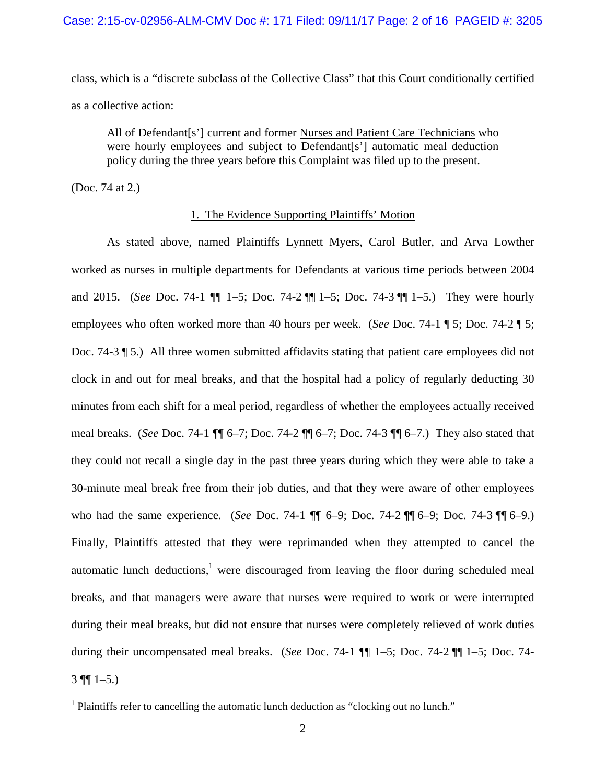class, which is a "discrete subclass of the Collective Class" that this Court conditionally certified as a collective action:

All of Defendant[s'] current and former Nurses and Patient Care Technicians who were hourly employees and subject to Defendant[s'] automatic meal deduction policy during the three years before this Complaint was filed up to the present.

(Doc. 74 at 2.)

# 1. The Evidence Supporting Plaintiffs' Motion

 As stated above, named Plaintiffs Lynnett Myers, Carol Butler, and Arva Lowther worked as nurses in multiple departments for Defendants at various time periods between 2004 and 2015. (*See* Doc. 74-1 ¶¶ 1–5; Doc. 74-2 ¶¶ 1–5; Doc. 74-3 ¶¶ 1–5.) They were hourly employees who often worked more than 40 hours per week. (*See* Doc. 74-1 ¶ 5; Doc. 74-2 ¶ 5; Doc. 74-3 \[ 5.) All three women submitted affidavits stating that patient care employees did not clock in and out for meal breaks, and that the hospital had a policy of regularly deducting 30 minutes from each shift for a meal period, regardless of whether the employees actually received meal breaks. (*See* Doc. 74-1 ¶¶ 6–7; Doc. 74-2 ¶¶ 6–7; Doc. 74-3 ¶¶ 6–7.) They also stated that they could not recall a single day in the past three years during which they were able to take a 30-minute meal break free from their job duties, and that they were aware of other employees who had the same experience. (*See* Doc. 74-1 ¶¶ 6–9; Doc. 74-2 ¶¶ 6–9; Doc. 74-3 ¶¶ 6–9.) Finally, Plaintiffs attested that they were reprimanded when they attempted to cancel the automatic lunch deductions, $<sup>1</sup>$  were discouraged from leaving the floor during scheduled meal</sup> breaks, and that managers were aware that nurses were required to work or were interrupted during their meal breaks, but did not ensure that nurses were completely relieved of work duties during their uncompensated meal breaks. (*See* Doc. 74-1 ¶¶ 1–5; Doc. 74-2 ¶¶ 1–5; Doc. 74-  $3 \text{ }\P{}1-5.$ 

<sup>&</sup>lt;sup>1</sup> Plaintiffs refer to cancelling the automatic lunch deduction as "clocking out no lunch."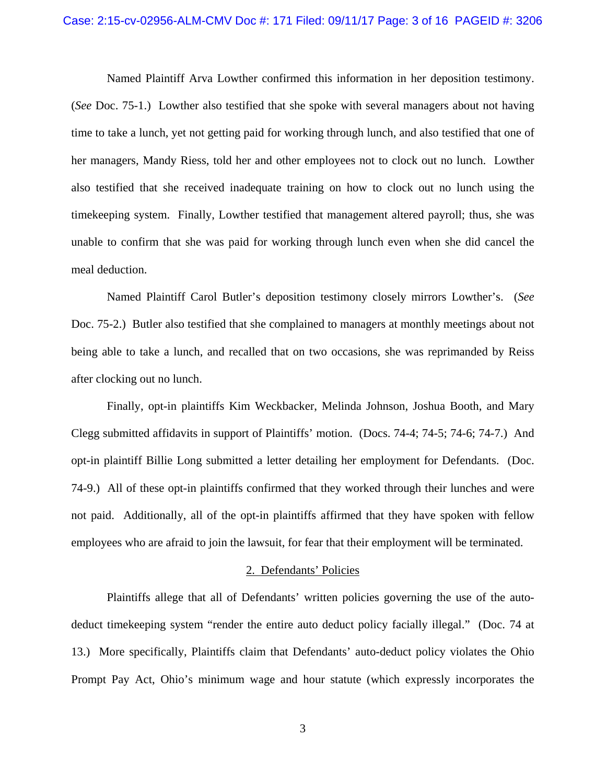#### Case: 2:15-cv-02956-ALM-CMV Doc #: 171 Filed: 09/11/17 Page: 3 of 16 PAGEID #: 3206

 Named Plaintiff Arva Lowther confirmed this information in her deposition testimony. (*See* Doc. 75-1.) Lowther also testified that she spoke with several managers about not having time to take a lunch, yet not getting paid for working through lunch, and also testified that one of her managers, Mandy Riess, told her and other employees not to clock out no lunch. Lowther also testified that she received inadequate training on how to clock out no lunch using the timekeeping system. Finally, Lowther testified that management altered payroll; thus, she was unable to confirm that she was paid for working through lunch even when she did cancel the meal deduction.

 Named Plaintiff Carol Butler's deposition testimony closely mirrors Lowther's. (*See*  Doc. 75-2.) Butler also testified that she complained to managers at monthly meetings about not being able to take a lunch, and recalled that on two occasions, she was reprimanded by Reiss after clocking out no lunch.

 Finally, opt-in plaintiffs Kim Weckbacker, Melinda Johnson, Joshua Booth, and Mary Clegg submitted affidavits in support of Plaintiffs' motion. (Docs. 74-4; 74-5; 74-6; 74-7.) And opt-in plaintiff Billie Long submitted a letter detailing her employment for Defendants. (Doc. 74-9.) All of these opt-in plaintiffs confirmed that they worked through their lunches and were not paid. Additionally, all of the opt-in plaintiffs affirmed that they have spoken with fellow employees who are afraid to join the lawsuit, for fear that their employment will be terminated.

#### 2. Defendants' Policies

 Plaintiffs allege that all of Defendants' written policies governing the use of the autodeduct timekeeping system "render the entire auto deduct policy facially illegal." (Doc. 74 at 13.) More specifically, Plaintiffs claim that Defendants' auto-deduct policy violates the Ohio Prompt Pay Act, Ohio's minimum wage and hour statute (which expressly incorporates the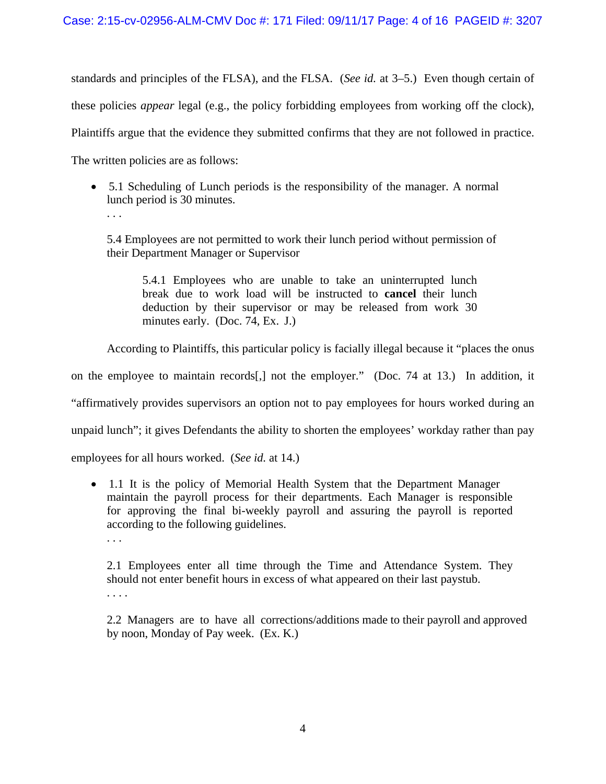standards and principles of the FLSA), and the FLSA. (*See id.* at 3–5.) Even though certain of these policies *appear* legal (e.g., the policy forbidding employees from working off the clock), Plaintiffs argue that the evidence they submitted confirms that they are not followed in practice. The written policies are as follows:

- 5.1 Scheduling of Lunch periods is the responsibility of the manager. A normal lunch period is 30 minutes.
	- . . .

5.4 Employees are not permitted to work their lunch period without permission of their Department Manager or Supervisor

5.4.1 Employees who are unable to take an uninterrupted lunch break due to work load will be instructed to **cancel** their lunch deduction by their supervisor or may be released from work 30 minutes early. (Doc. 74, Ex. J.)

According to Plaintiffs, this particular policy is facially illegal because it "places the onus

on the employee to maintain records[,] not the employer." (Doc. 74 at 13.) In addition, it

"affirmatively provides supervisors an option not to pay employees for hours worked during an

unpaid lunch"; it gives Defendants the ability to shorten the employees' workday rather than pay

employees for all hours worked. (*See id.* at 14.)

- 1.1 It is the policy of Memorial Health System that the Department Manager maintain the payroll process for their departments. Each Manager is responsible for approving the final bi-weekly payroll and assuring the payroll is reported according to the following guidelines.
	- . . .

2.1 Employees enter all time through the Time and Attendance System. They should not enter benefit hours in excess of what appeared on their last paystub. . . . .

2.2 Managers are to have all corrections/additions made to their payroll and approved by noon, Monday of Pay week. (Ex. K.)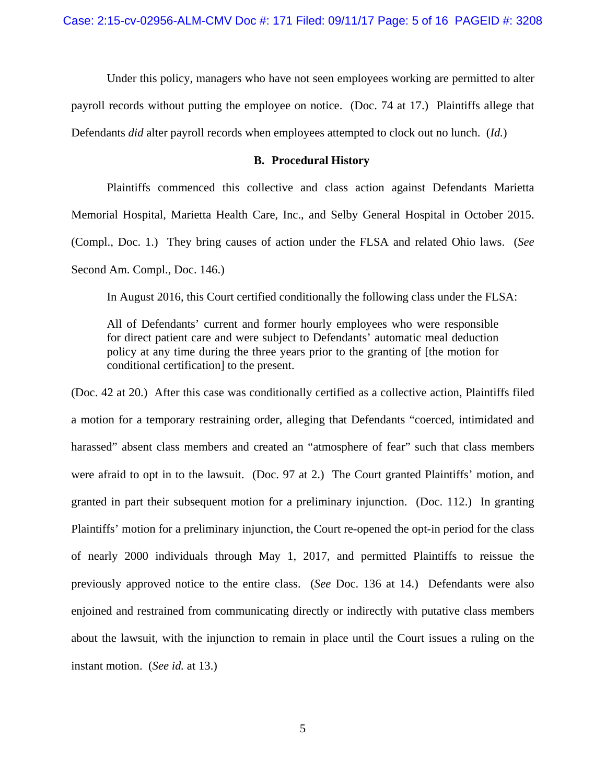Under this policy, managers who have not seen employees working are permitted to alter payroll records without putting the employee on notice. (Doc. 74 at 17.) Plaintiffs allege that Defendants *did* alter payroll records when employees attempted to clock out no lunch. (*Id.*)

# **B. Procedural History**

 Plaintiffs commenced this collective and class action against Defendants Marietta Memorial Hospital, Marietta Health Care, Inc., and Selby General Hospital in October 2015. (Compl., Doc. 1.) They bring causes of action under the FLSA and related Ohio laws. (*See*  Second Am. Compl., Doc. 146.)

In August 2016, this Court certified conditionally the following class under the FLSA:

All of Defendants' current and former hourly employees who were responsible for direct patient care and were subject to Defendants' automatic meal deduction policy at any time during the three years prior to the granting of [the motion for conditional certification] to the present.

(Doc. 42 at 20.) After this case was conditionally certified as a collective action, Plaintiffs filed a motion for a temporary restraining order, alleging that Defendants "coerced, intimidated and harassed" absent class members and created an "atmosphere of fear" such that class members were afraid to opt in to the lawsuit. (Doc. 97 at 2.) The Court granted Plaintiffs' motion, and granted in part their subsequent motion for a preliminary injunction. (Doc. 112.) In granting Plaintiffs' motion for a preliminary injunction, the Court re-opened the opt-in period for the class of nearly 2000 individuals through May 1, 2017, and permitted Plaintiffs to reissue the previously approved notice to the entire class. (*See* Doc. 136 at 14.) Defendants were also enjoined and restrained from communicating directly or indirectly with putative class members about the lawsuit, with the injunction to remain in place until the Court issues a ruling on the instant motion. (*See id.* at 13.)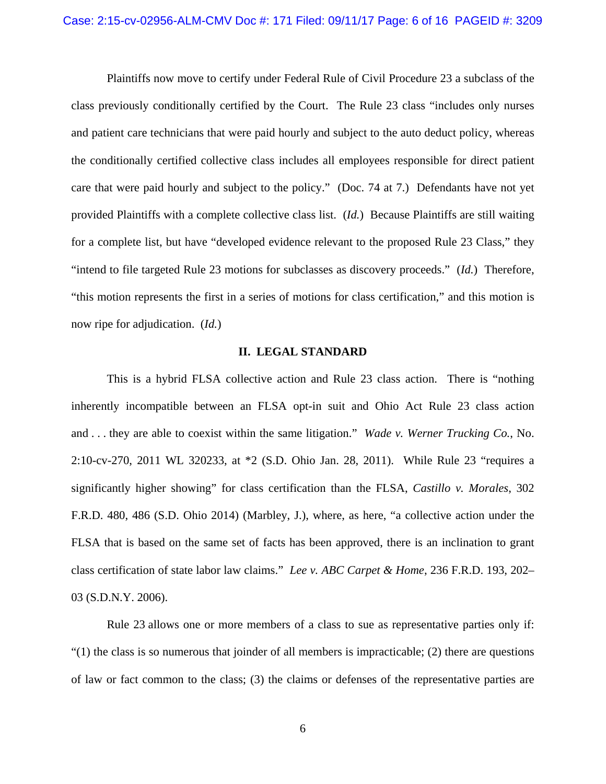Plaintiffs now move to certify under Federal Rule of Civil Procedure 23 a subclass of the class previously conditionally certified by the Court. The Rule 23 class "includes only nurses and patient care technicians that were paid hourly and subject to the auto deduct policy, whereas the conditionally certified collective class includes all employees responsible for direct patient care that were paid hourly and subject to the policy." (Doc. 74 at 7.) Defendants have not yet provided Plaintiffs with a complete collective class list. (*Id.*) Because Plaintiffs are still waiting for a complete list, but have "developed evidence relevant to the proposed Rule 23 Class," they "intend to file targeted Rule 23 motions for subclasses as discovery proceeds." (*Id.*) Therefore, "this motion represents the first in a series of motions for class certification," and this motion is now ripe for adjudication. (*Id.*)

## **II. LEGAL STANDARD**

This is a hybrid FLSA collective action and Rule 23 class action. There is "nothing inherently incompatible between an FLSA opt-in suit and Ohio Act Rule 23 class action and . . . they are able to coexist within the same litigation." *Wade v. Werner Trucking Co.*, No. 2:10-cv-270, 2011 WL 320233, at \*2 (S.D. Ohio Jan. 28, 2011). While Rule 23 "requires a significantly higher showing" for class certification than the FLSA, *Castillo v. Morales*, 302 F.R.D. 480, 486 (S.D. Ohio 2014) (Marbley, J.), where, as here, "a collective action under the FLSA that is based on the same set of facts has been approved, there is an inclination to grant class certification of state labor law claims." *Lee v. ABC Carpet & Home*, 236 F.R.D. 193, 202– 03 (S.D.N.Y. 2006).

Rule 23 allows one or more members of a class to sue as representative parties only if:  $(1)$  the class is so numerous that joinder of all members is impracticable; (2) there are questions of law or fact common to the class; (3) the claims or defenses of the representative parties are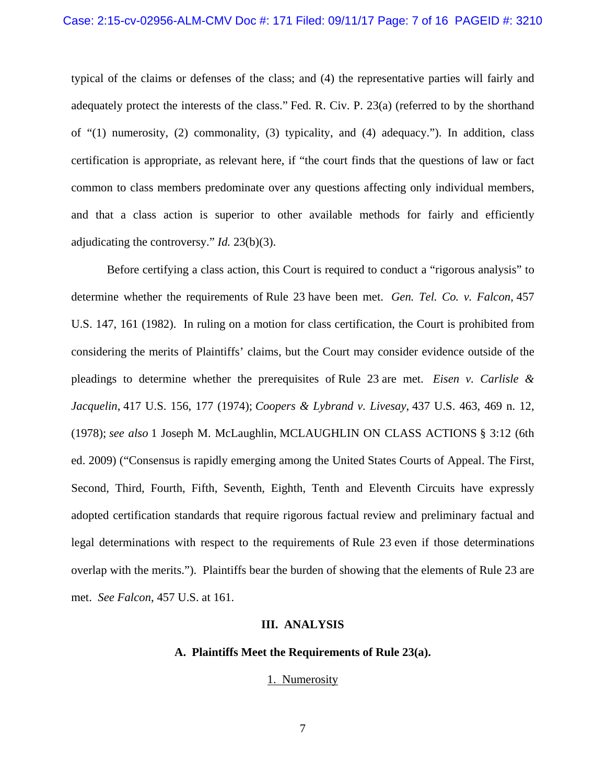typical of the claims or defenses of the class; and (4) the representative parties will fairly and adequately protect the interests of the class." Fed. R. Civ. P. 23(a) (referred to by the shorthand of "(1) numerosity, (2) commonality, (3) typicality, and (4) adequacy."). In addition, class certification is appropriate, as relevant here, if "the court finds that the questions of law or fact common to class members predominate over any questions affecting only individual members, and that a class action is superior to other available methods for fairly and efficiently adjudicating the controversy." *Id.* 23(b)(3).

Before certifying a class action, this Court is required to conduct a "rigorous analysis" to determine whether the requirements of Rule 23 have been met. *Gen. Tel. Co. v. Falcon*, 457 U.S. 147, 161 (1982). In ruling on a motion for class certification, the Court is prohibited from considering the merits of Plaintiffs' claims, but the Court may consider evidence outside of the pleadings to determine whether the prerequisites of Rule 23 are met. *Eisen v. Carlisle & Jacquelin*, 417 U.S. 156, 177 (1974); *Coopers & Lybrand v. Livesay*, 437 U.S. 463, 469 n. 12, (1978); *see also* 1 Joseph M. McLaughlin, MCLAUGHLIN ON CLASS ACTIONS § 3:12 (6th ed. 2009) ("Consensus is rapidly emerging among the United States Courts of Appeal. The First, Second, Third, Fourth, Fifth, Seventh, Eighth, Tenth and Eleventh Circuits have expressly adopted certification standards that require rigorous factual review and preliminary factual and legal determinations with respect to the requirements of Rule 23 even if those determinations overlap with the merits."). Plaintiffs bear the burden of showing that the elements of Rule 23 are met. *See Falcon*, 457 U.S. at 161.

#### **III. ANALYSIS**

# **A. Plaintiffs Meet the Requirements of Rule 23(a).**

1. Numerosity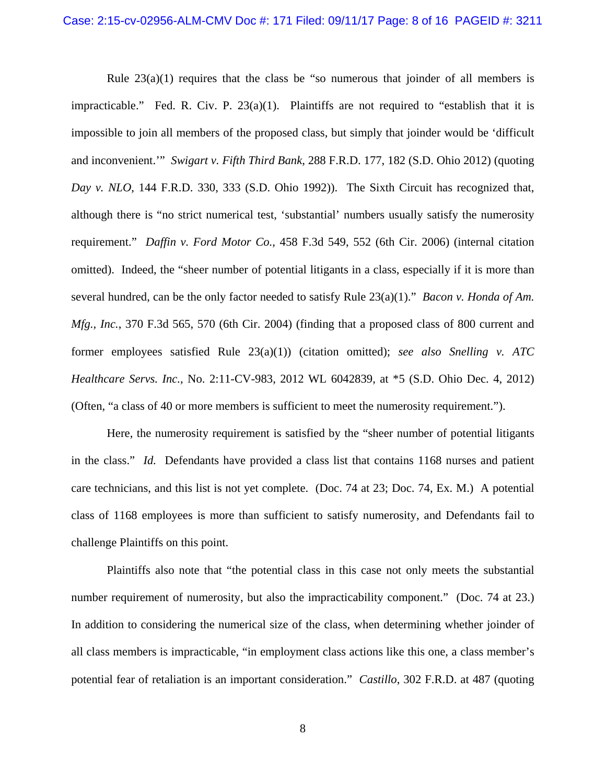Rule  $23(a)(1)$  requires that the class be "so numerous that joinder of all members is impracticable." Fed. R. Civ. P.  $23(a)(1)$ . Plaintiffs are not required to "establish that it is impossible to join all members of the proposed class, but simply that joinder would be 'difficult and inconvenient.'" *Swigart v. Fifth Third Bank*, 288 F.R.D. 177, 182 (S.D. Ohio 2012) (quoting *Day v. NLO*, 144 F.R.D. 330, 333 (S.D. Ohio 1992)). The Sixth Circuit has recognized that, although there is "no strict numerical test, 'substantial' numbers usually satisfy the numerosity requirement." *Daffin v. Ford Motor Co.*, 458 F.3d 549, 552 (6th Cir. 2006) (internal citation omitted). Indeed, the "sheer number of potential litigants in a class, especially if it is more than several hundred, can be the only factor needed to satisfy Rule 23(a)(1)." *Bacon v. Honda of Am. Mfg., Inc.*, 370 F.3d 565, 570 (6th Cir. 2004) (finding that a proposed class of 800 current and former employees satisfied Rule 23(a)(1)) (citation omitted); *see also Snelling v. ATC Healthcare Servs. Inc.*, No. 2:11-CV-983, 2012 WL 6042839, at \*5 (S.D. Ohio Dec. 4, 2012) (Often, "a class of 40 or more members is sufficient to meet the numerosity requirement.").

 Here, the numerosity requirement is satisfied by the "sheer number of potential litigants in the class." *Id.* Defendants have provided a class list that contains 1168 nurses and patient care technicians, and this list is not yet complete. (Doc. 74 at 23; Doc. 74, Ex. M.) A potential class of 1168 employees is more than sufficient to satisfy numerosity, and Defendants fail to challenge Plaintiffs on this point.

 Plaintiffs also note that "the potential class in this case not only meets the substantial number requirement of numerosity, but also the impracticability component." (Doc. 74 at 23.) In addition to considering the numerical size of the class, when determining whether joinder of all class members is impracticable, "in employment class actions like this one, a class member's potential fear of retaliation is an important consideration." *Castillo*, 302 F.R.D. at 487 (quoting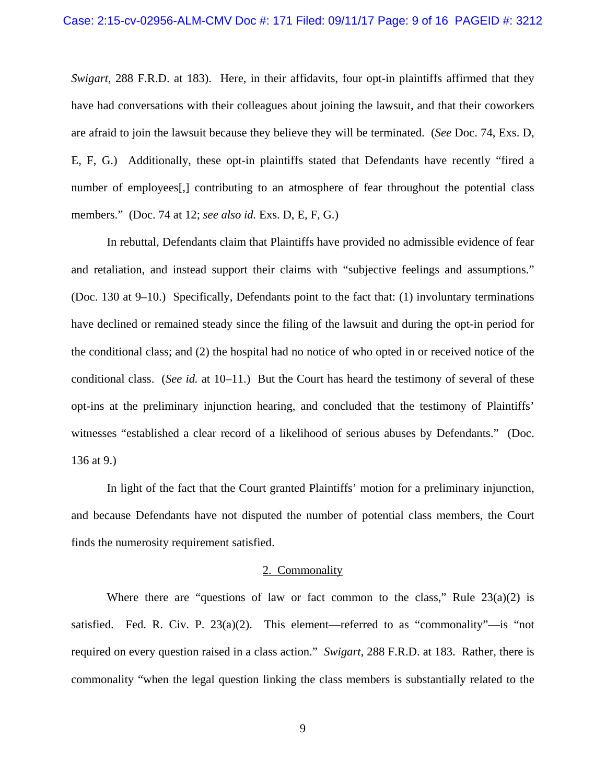*Swigart*, 288 F.R.D. at 183). Here, in their affidavits, four opt-in plaintiffs affirmed that they have had conversations with their colleagues about joining the lawsuit, and that their coworkers are afraid to join the lawsuit because they believe they will be terminated. (*See* Doc. 74, Exs. D, E, F, G.) Additionally, these opt-in plaintiffs stated that Defendants have recently "fired a number of employees[,] contributing to an atmosphere of fear throughout the potential class members." (Doc. 74 at 12; *see also id.* Exs. D, E, F, G.)

 In rebuttal, Defendants claim that Plaintiffs have provided no admissible evidence of fear and retaliation, and instead support their claims with "subjective feelings and assumptions." (Doc. 130 at 9–10.) Specifically, Defendants point to the fact that: (1) involuntary terminations have declined or remained steady since the filing of the lawsuit and during the opt-in period for the conditional class; and (2) the hospital had no notice of who opted in or received notice of the conditional class. (*See id.* at 10–11.) But the Court has heard the testimony of several of these opt-ins at the preliminary injunction hearing, and concluded that the testimony of Plaintiffs' witnesses "established a clear record of a likelihood of serious abuses by Defendants." (Doc. 136 at 9.)

 In light of the fact that the Court granted Plaintiffs' motion for a preliminary injunction, and because Defendants have not disputed the number of potential class members, the Court finds the numerosity requirement satisfied.

#### 2. Commonality

Where there are "questions of law or fact common to the class," Rule  $23(a)(2)$  is satisfied. Fed. R. Civ. P.  $23(a)(2)$ . This element—referred to as "commonality"—is "not required on every question raised in a class action." *Swigart*, 288 F.R.D. at 183. Rather, there is commonality "when the legal question linking the class members is substantially related to the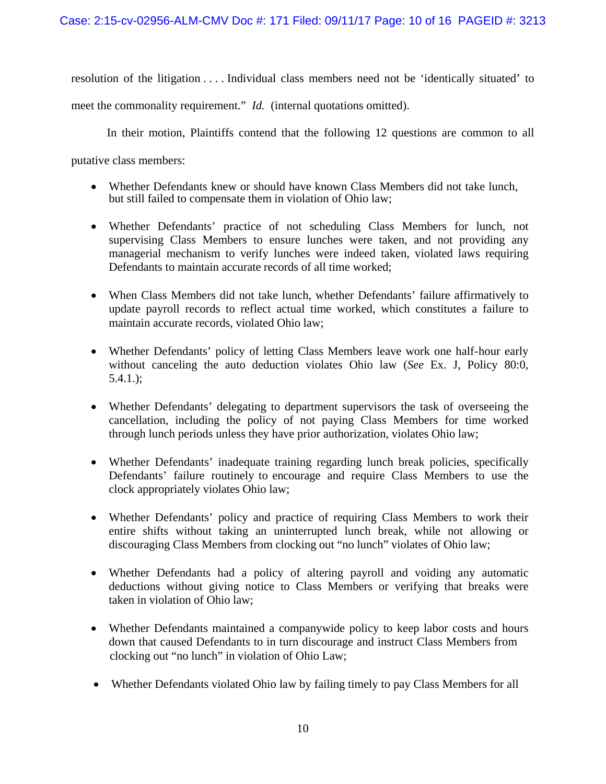resolution of the litigation . . . . Individual class members need not be 'identically situated' to

meet the commonality requirement." *Id.* (internal quotations omitted).

In their motion, Plaintiffs contend that the following 12 questions are common to all

putative class members:

- Whether Defendants knew or should have known Class Members did not take lunch, but still failed to compensate them in violation of Ohio law;
- Whether Defendants' practice of not scheduling Class Members for lunch, not supervising Class Members to ensure lunches were taken, and not providing any managerial mechanism to verify lunches were indeed taken, violated laws requiring Defendants to maintain accurate records of all time worked;
- When Class Members did not take lunch, whether Defendants' failure affirmatively to update payroll records to reflect actual time worked, which constitutes a failure to maintain accurate records, violated Ohio law;
- Whether Defendants' policy of letting Class Members leave work one half-hour early without canceling the auto deduction violates Ohio law (*See* Ex. J, Policy 80:0, 5.4.1.);
- Whether Defendants' delegating to department supervisors the task of overseeing the cancellation, including the policy of not paying Class Members for time worked through lunch periods unless they have prior authorization, violates Ohio law;
- Whether Defendants' inadequate training regarding lunch break policies, specifically Defendants' failure routinely to encourage and require Class Members to use the clock appropriately violates Ohio law;
- Whether Defendants' policy and practice of requiring Class Members to work their entire shifts without taking an uninterrupted lunch break, while not allowing or discouraging Class Members from clocking out "no lunch" violates of Ohio law;
- Whether Defendants had a policy of altering payroll and voiding any automatic deductions without giving notice to Class Members or verifying that breaks were taken in violation of Ohio law;
- Whether Defendants maintained a companywide policy to keep labor costs and hours down that caused Defendants to in turn discourage and instruct Class Members from clocking out "no lunch" in violation of Ohio Law;
- Whether Defendants violated Ohio law by failing timely to pay Class Members for all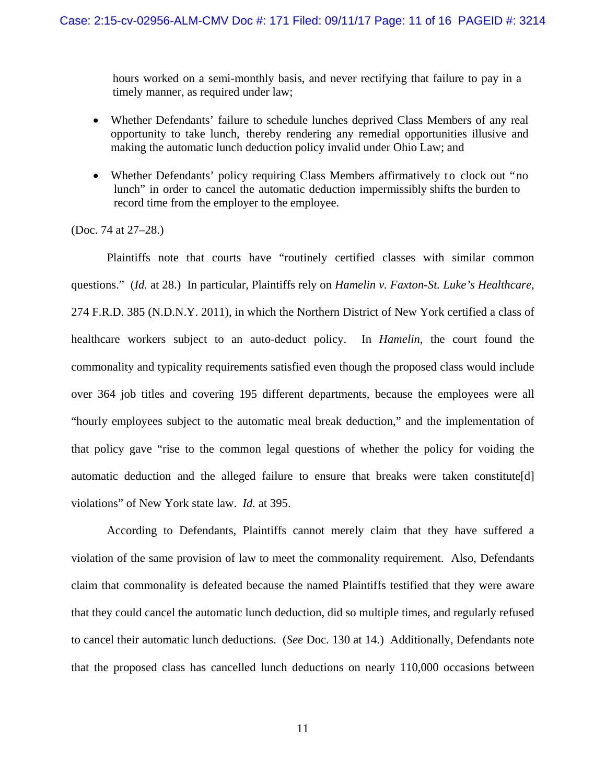hours worked on a semi-monthly basis, and never rectifying that failure to pay in a timely manner, as required under law;

- Whether Defendants' failure to schedule lunches deprived Class Members of any real opportunity to take lunch, thereby rendering any remedial opportunities illusive and making the automatic lunch deduction policy invalid under Ohio Law; and
- Whether Defendants' policy requiring Class Members affirmatively to clock out "no lunch" in order to cancel the automatic deduction impermissibly shifts the burden to record time from the employer to the employee.

## (Doc. 74 at 27–28.)

Plaintiffs note that courts have "routinely certified classes with similar common questions." (*Id.* at 28.) In particular, Plaintiffs rely on *Hamelin v. Faxton-St. Luke's Healthcare*, 274 F.R.D. 385 (N.D.N.Y. 2011), in which the Northern District of New York certified a class of healthcare workers subject to an auto-deduct policy. In *Hamelin*, the court found the commonality and typicality requirements satisfied even though the proposed class would include over 364 job titles and covering 195 different departments, because the employees were all "hourly employees subject to the automatic meal break deduction," and the implementation of that policy gave "rise to the common legal questions of whether the policy for voiding the automatic deduction and the alleged failure to ensure that breaks were taken constitute[d] violations" of New York state law. *Id.* at 395.

 According to Defendants, Plaintiffs cannot merely claim that they have suffered a violation of the same provision of law to meet the commonality requirement. Also, Defendants claim that commonality is defeated because the named Plaintiffs testified that they were aware that they could cancel the automatic lunch deduction, did so multiple times, and regularly refused to cancel their automatic lunch deductions. (*See* Doc. 130 at 14.) Additionally, Defendants note that the proposed class has cancelled lunch deductions on nearly 110,000 occasions between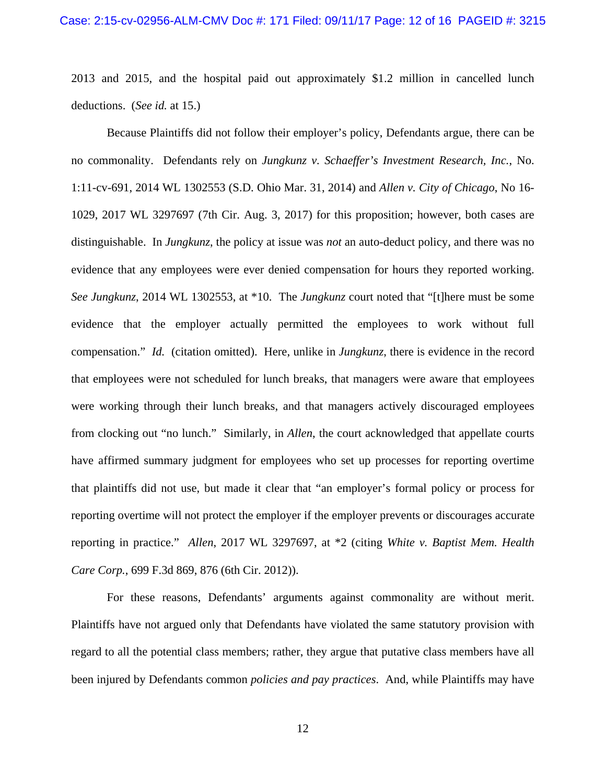2013 and 2015, and the hospital paid out approximately \$1.2 million in cancelled lunch deductions. (*See id.* at 15.)

 Because Plaintiffs did not follow their employer's policy, Defendants argue, there can be no commonality. Defendants rely on *Jungkunz v. Schaeffer's Investment Research, Inc.*, No. 1:11-cv-691, 2014 WL 1302553 (S.D. Ohio Mar. 31, 2014) and *Allen v. City of Chicago*, No 16- 1029, 2017 WL 3297697 (7th Cir. Aug. 3, 2017) for this proposition; however, both cases are distinguishable. In *Jungkunz*, the policy at issue was *not* an auto-deduct policy, and there was no evidence that any employees were ever denied compensation for hours they reported working. *See Jungkunz*, 2014 WL 1302553, at \*10. The *Jungkunz* court noted that "[t]here must be some evidence that the employer actually permitted the employees to work without full compensation." *Id.* (citation omitted). Here, unlike in *Jungkunz*, there is evidence in the record that employees were not scheduled for lunch breaks, that managers were aware that employees were working through their lunch breaks, and that managers actively discouraged employees from clocking out "no lunch." Similarly, in *Allen*, the court acknowledged that appellate courts have affirmed summary judgment for employees who set up processes for reporting overtime that plaintiffs did not use, but made it clear that "an employer's formal policy or process for reporting overtime will not protect the employer if the employer prevents or discourages accurate reporting in practice." *Allen*, 2017 WL 3297697, at \*2 (citing *White v. Baptist Mem. Health Care Corp.*, 699 F.3d 869, 876 (6th Cir. 2012)).

 For these reasons, Defendants' arguments against commonality are without merit. Plaintiffs have not argued only that Defendants have violated the same statutory provision with regard to all the potential class members; rather, they argue that putative class members have all been injured by Defendants common *policies and pay practices*. And, while Plaintiffs may have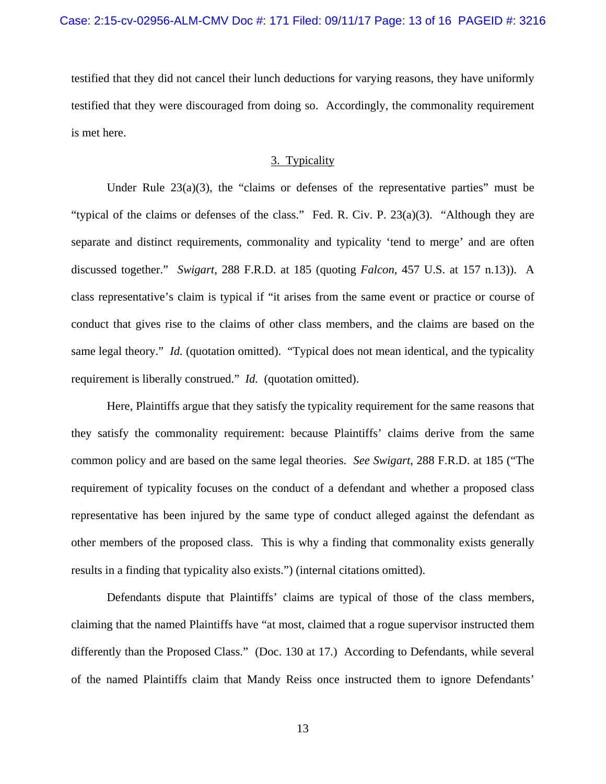testified that they did not cancel their lunch deductions for varying reasons, they have uniformly testified that they were discouraged from doing so. Accordingly, the commonality requirement is met here.

# 3. Typicality

Under Rule  $23(a)(3)$ , the "claims or defenses of the representative parties" must be "typical of the claims or defenses of the class." Fed. R. Civ. P. 23(a)(3). "Although they are separate and distinct requirements, commonality and typicality 'tend to merge' and are often discussed together." *Swigart*, 288 F.R.D. at 185 (quoting *Falcon*, 457 U.S. at 157 n.13)). A class representative's claim is typical if "it arises from the same event or practice or course of conduct that gives rise to the claims of other class members, and the claims are based on the same legal theory." *Id.* (quotation omitted). "Typical does not mean identical, and the typicality requirement is liberally construed." *Id.* (quotation omitted).

 Here, Plaintiffs argue that they satisfy the typicality requirement for the same reasons that they satisfy the commonality requirement: because Plaintiffs' claims derive from the same common policy and are based on the same legal theories. *See Swigart*, 288 F.R.D. at 185 ("The requirement of typicality focuses on the conduct of a defendant and whether a proposed class representative has been injured by the same type of conduct alleged against the defendant as other members of the proposed class. This is why a finding that commonality exists generally results in a finding that typicality also exists.") (internal citations omitted).

 Defendants dispute that Plaintiffs' claims are typical of those of the class members, claiming that the named Plaintiffs have "at most, claimed that a rogue supervisor instructed them differently than the Proposed Class." (Doc. 130 at 17.) According to Defendants, while several of the named Plaintiffs claim that Mandy Reiss once instructed them to ignore Defendants'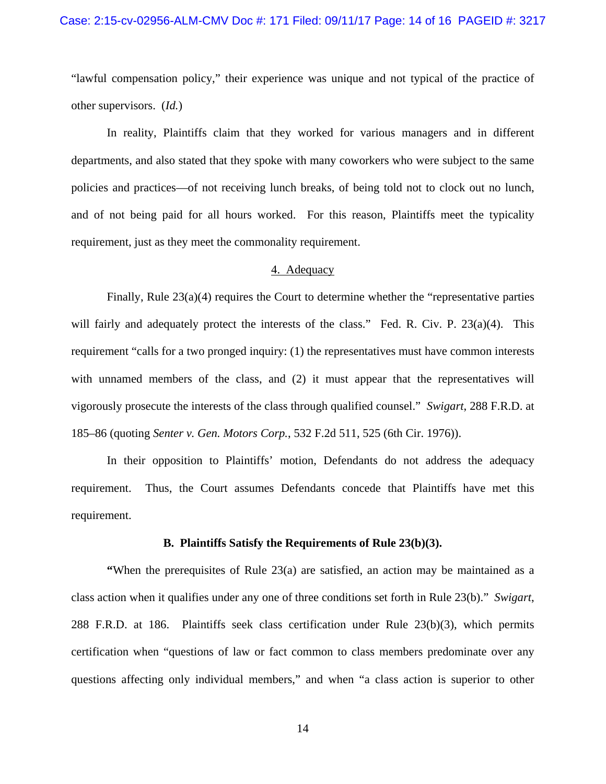"lawful compensation policy," their experience was unique and not typical of the practice of other supervisors. (*Id.*)

 In reality, Plaintiffs claim that they worked for various managers and in different departments, and also stated that they spoke with many coworkers who were subject to the same policies and practices—of not receiving lunch breaks, of being told not to clock out no lunch, and of not being paid for all hours worked. For this reason, Plaintiffs meet the typicality requirement, just as they meet the commonality requirement.

#### 4. Adequacy

 Finally, Rule 23(a)(4) requires the Court to determine whether the "representative parties will fairly and adequately protect the interests of the class." Fed. R. Civ. P. 23(a)(4). This requirement "calls for a two pronged inquiry: (1) the representatives must have common interests with unnamed members of the class, and (2) it must appear that the representatives will vigorously prosecute the interests of the class through qualified counsel." *Swigart*, 288 F.R.D. at 185–86 (quoting *Senter v. Gen. Motors Corp.*, 532 F.2d 511, 525 (6th Cir. 1976)).

 In their opposition to Plaintiffs' motion, Defendants do not address the adequacy requirement. Thus, the Court assumes Defendants concede that Plaintiffs have met this requirement.

## **B. Plaintiffs Satisfy the Requirements of Rule 23(b)(3).**

**"When the prerequisites of Rule 23(a) are satisfied, an action may be maintained as a** class action when it qualifies under any one of three conditions set forth in Rule 23(b)." *Swigart*, 288 F.R.D. at 186. Plaintiffs seek class certification under Rule 23(b)(3), which permits certification when "questions of law or fact common to class members predominate over any questions affecting only individual members," and when "a class action is superior to other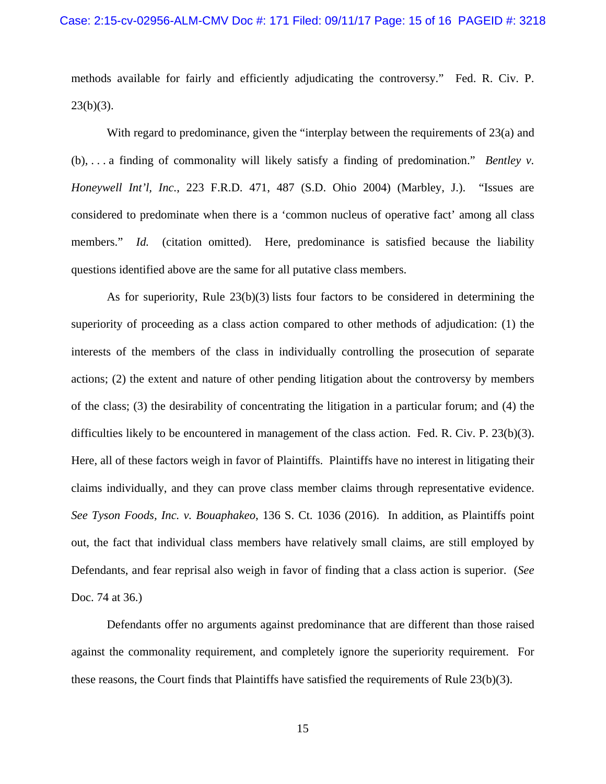methods available for fairly and efficiently adjudicating the controversy." Fed. R. Civ. P.  $23(b)(3)$ .

With regard to predominance, given the "interplay between the requirements of 23(a) and (b), . . . a finding of commonality will likely satisfy a finding of predomination." *Bentley v. Honeywell Int'l, Inc.*, 223 F.R.D. 471, 487 (S.D. Ohio 2004) (Marbley, J.). "Issues are considered to predominate when there is a 'common nucleus of operative fact' among all class members." *Id.* (citation omitted). Here, predominance is satisfied because the liability questions identified above are the same for all putative class members.

 As for superiority, Rule 23(b)(3) lists four factors to be considered in determining the superiority of proceeding as a class action compared to other methods of adjudication: (1) the interests of the members of the class in individually controlling the prosecution of separate actions; (2) the extent and nature of other pending litigation about the controversy by members of the class; (3) the desirability of concentrating the litigation in a particular forum; and (4) the difficulties likely to be encountered in management of the class action. Fed. R. Civ. P. 23(b)(3). Here, all of these factors weigh in favor of Plaintiffs. Plaintiffs have no interest in litigating their claims individually, and they can prove class member claims through representative evidence. *See Tyson Foods, Inc. v. Bouaphakeo*, 136 S. Ct. 1036 (2016). In addition, as Plaintiffs point out, the fact that individual class members have relatively small claims, are still employed by Defendants, and fear reprisal also weigh in favor of finding that a class action is superior. (*See*  Doc. 74 at 36.)

 Defendants offer no arguments against predominance that are different than those raised against the commonality requirement, and completely ignore the superiority requirement. For these reasons, the Court finds that Plaintiffs have satisfied the requirements of Rule 23(b)(3).